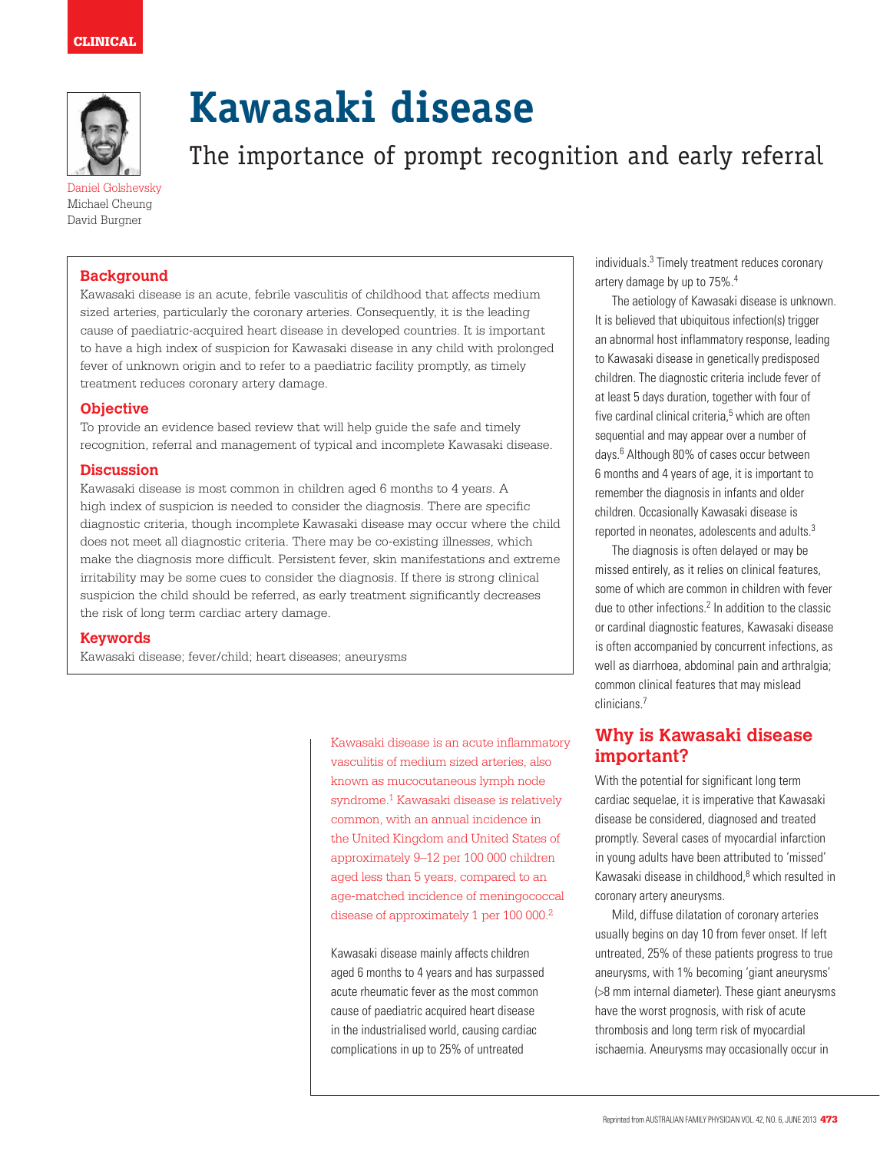

Daniel Golshevsky Michael Cheung David Burgner

# **Kawasaki disease**

The importance of prompt recognition and early referral

## **Background**

Kawasaki disease is an acute, febrile vasculitis of childhood that affects medium sized arteries, particularly the coronary arteries. Consequently, it is the leading cause of paediatric-acquired heart disease in developed countries. It is important to have a high index of suspicion for Kawasaki disease in any child with prolonged fever of unknown origin and to refer to a paediatric facility promptly, as timely treatment reduces coronary artery damage.

#### **Objective**

To provide an evidence based review that will help guide the safe and timely recognition, referral and management of typical and incomplete Kawasaki disease.

#### **Discussion**

Kawasaki disease is most common in children aged 6 months to 4 years. A high index of suspicion is needed to consider the diagnosis. There are specific diagnostic criteria, though incomplete Kawasaki disease may occur where the child does not meet all diagnostic criteria. There may be co-existing illnesses, which make the diagnosis more difficult. Persistent fever, skin manifestations and extreme irritability may be some cues to consider the diagnosis. If there is strong clinical suspicion the child should be referred, as early treatment significantly decreases the risk of long term cardiac artery damage.

#### **Keywords**

Kawasaki disease; fever/child; heart diseases; aneurysms

Kawasaki disease is an acute inflammatory vasculitis of medium sized arteries, also known as mucocutaneous lymph node syndrome.1 Kawasaki disease is relatively common, with an annual incidence in the United Kingdom and United States of approximately 9–12 per 100 000 children aged less than 5 years, compared to an age-matched incidence of meningococcal disease of approximately 1 per 100 000.2

Kawasaki disease mainly affects children aged 6 months to 4 years and has surpassed acute rheumatic fever as the most common cause of paediatric acquired heart disease in the industrialised world, causing cardiac complications in up to 25% of untreated

individuals.<sup>3</sup> Timely treatment reduces coronary artery damage by up to 75%.4

The aetiology of Kawasaki disease is unknown. It is believed that ubiquitous infection(s) trigger an abnormal host inflammatory response, leading to Kawasaki disease in genetically predisposed children. The diagnostic criteria include fever of at least 5 days duration, together with four of five cardinal clinical criteria,<sup>5</sup> which are often sequential and may appear over a number of days.6 Although 80% of cases occur between 6 months and 4 years of age, it is important to remember the diagnosis in infants and older children. Occasionally Kawasaki disease is reported in neonates, adolescents and adults.3

The diagnosis is often delayed or may be missed entirely, as it relies on clinical features, some of which are common in children with fever due to other infections.<sup>2</sup> In addition to the classic or cardinal diagnostic features, Kawasaki disease is often accompanied by concurrent infections, as well as diarrhoea, abdominal pain and arthralgia; common clinical features that may mislead clinicians.7

# **Why is Kawasaki disease important?**

With the potential for significant long term cardiac sequelae, it is imperative that Kawasaki disease be considered, diagnosed and treated promptly. Several cases of myocardial infarction in young adults have been attributed to 'missed' Kawasaki disease in childhood,<sup>8</sup> which resulted in coronary artery aneurysms.

Mild, diffuse dilatation of coronary arteries usually begins on day 10 from fever onset. If left untreated, 25% of these patients progress to true aneurysms, with 1% becoming 'giant aneurysms' (>8 mm internal diameter). These giant aneurysms have the worst prognosis, with risk of acute thrombosis and long term risk of myocardial ischaemia. Aneurysms may occasionally occur in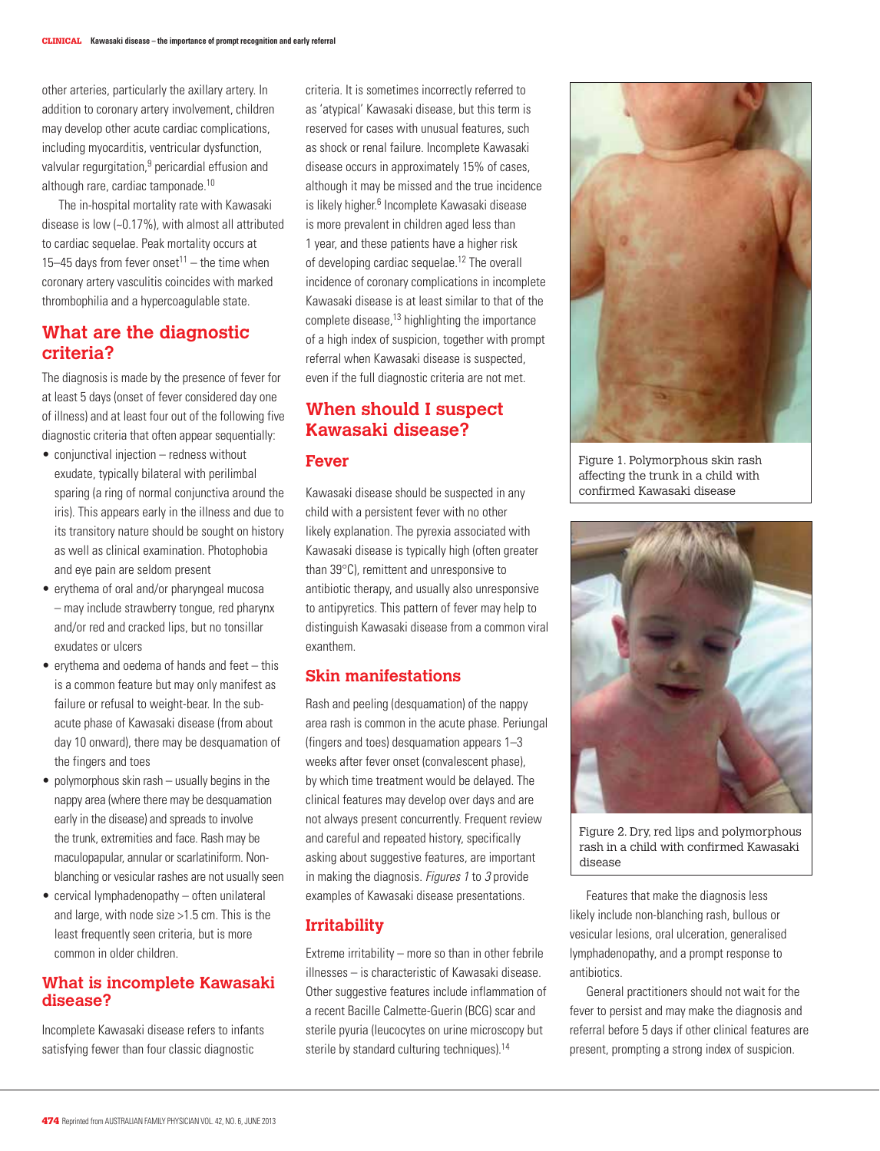other arteries, particularly the axillary artery. In addition to coronary artery involvement, children may develop other acute cardiac complications, including myocarditis, ventricular dysfunction, valvular regurgitation,<sup>9</sup> pericardial effusion and although rare, cardiac tamponade.10

The in-hospital mortality rate with Kawasaki disease is low (~0.17%), with almost all attributed to cardiac sequelae. Peak mortality occurs at 15–45 days from fever onset<sup>11</sup> – the time when coronary artery vasculitis coincides with marked thrombophilia and a hypercoagulable state.

# **What are the diagnostic criteria?**

The diagnosis is made by the presence of fever for at least 5 days (onset of fever considered day one of illness) and at least four out of the following five diagnostic criteria that often appear sequentially:

- conjunctival injection redness without exudate, typically bilateral with perilimbal sparing (a ring of normal conjunctiva around the iris). This appears early in the illness and due to its transitory nature should be sought on history as well as clinical examination. Photophobia and eye pain are seldom present
- erythema of oral and/or pharyngeal mucosa – may include strawberry tongue, red pharynx and/or red and cracked lips, but no tonsillar exudates or ulcers
- $\bullet$  erythema and oedema of hands and feet this is a common feature but may only manifest as failure or refusal to weight-bear. In the subacute phase of Kawasaki disease (from about day 10 onward), there may be desquamation of the fingers and toes
- $\bullet$  polymorphous skin rash usually begins in the nappy area (where there may be desquamation early in the disease) and spreads to involve the trunk, extremities and face. Rash may be maculopapular, annular or scarlatiniform. Nonblanching or vesicular rashes are not usually seen
- cervical lymphadenopathy often unilateral and large, with node size >1.5 cm. This is the least frequently seen criteria, but is more common in older children.

#### **What is incomplete Kawasaki disease?**

Incomplete Kawasaki disease refers to infants satisfying fewer than four classic diagnostic

criteria. It is sometimes incorrectly referred to as 'atypical' Kawasaki disease, but this term is reserved for cases with unusual features, such as shock or renal failure. Incomplete Kawasaki disease occurs in approximately 15% of cases, although it may be missed and the true incidence is likely higher.<sup>6</sup> Incomplete Kawasaki disease is more prevalent in children aged less than 1 year, and these patients have a higher risk of developing cardiac sequelae.12 The overall incidence of coronary complications in incomplete Kawasaki disease is at least similar to that of the complete disease,<sup>13</sup> highlighting the importance of a high index of suspicion, together with prompt referral when Kawasaki disease is suspected, even if the full diagnostic criteria are not met.

# **When should I suspect Kawasaki disease?**

## **Fever**

Kawasaki disease should be suspected in any child with a persistent fever with no other likely explanation. The pyrexia associated with Kawasaki disease is typically high (often greater than 39°C), remittent and unresponsive to antibiotic therapy, and usually also unresponsive to antipyretics. This pattern of fever may help to distinguish Kawasaki disease from a common viral exanthem.

## **Skin manifestations**

Rash and peeling (desquamation) of the nappy area rash is common in the acute phase. Periungal (fingers and toes) desquamation appears 1–3 weeks after fever onset (convalescent phase), by which time treatment would be delayed. The clinical features may develop over days and are not always present concurrently. Frequent review and careful and repeated history, specifically asking about suggestive features, are important in making the diagnosis. Figures 1 to 3 provide examples of Kawasaki disease presentations.

#### **Irritability**

Extreme irritability – more so than in other febrile illnesses – is characteristic of Kawasaki disease. Other suggestive features include inflammation of a recent Bacille Calmette-Guerin (BCG) scar and sterile pyuria (leucocytes on urine microscopy but sterile by standard culturing techniques).<sup>14</sup>



Figure 1. Polymorphous skin rash affecting the trunk in a child with confirmed Kawasaki disease



Figure 2. Dry, red lips and polymorphous rash in a child with confirmed Kawasaki disease

Features that make the diagnosis less likely include non-blanching rash, bullous or vesicular lesions, oral ulceration, generalised lymphadenopathy, and a prompt response to antibiotics.

General practitioners should not wait for the fever to persist and may make the diagnosis and referral before 5 days if other clinical features are present, prompting a strong index of suspicion.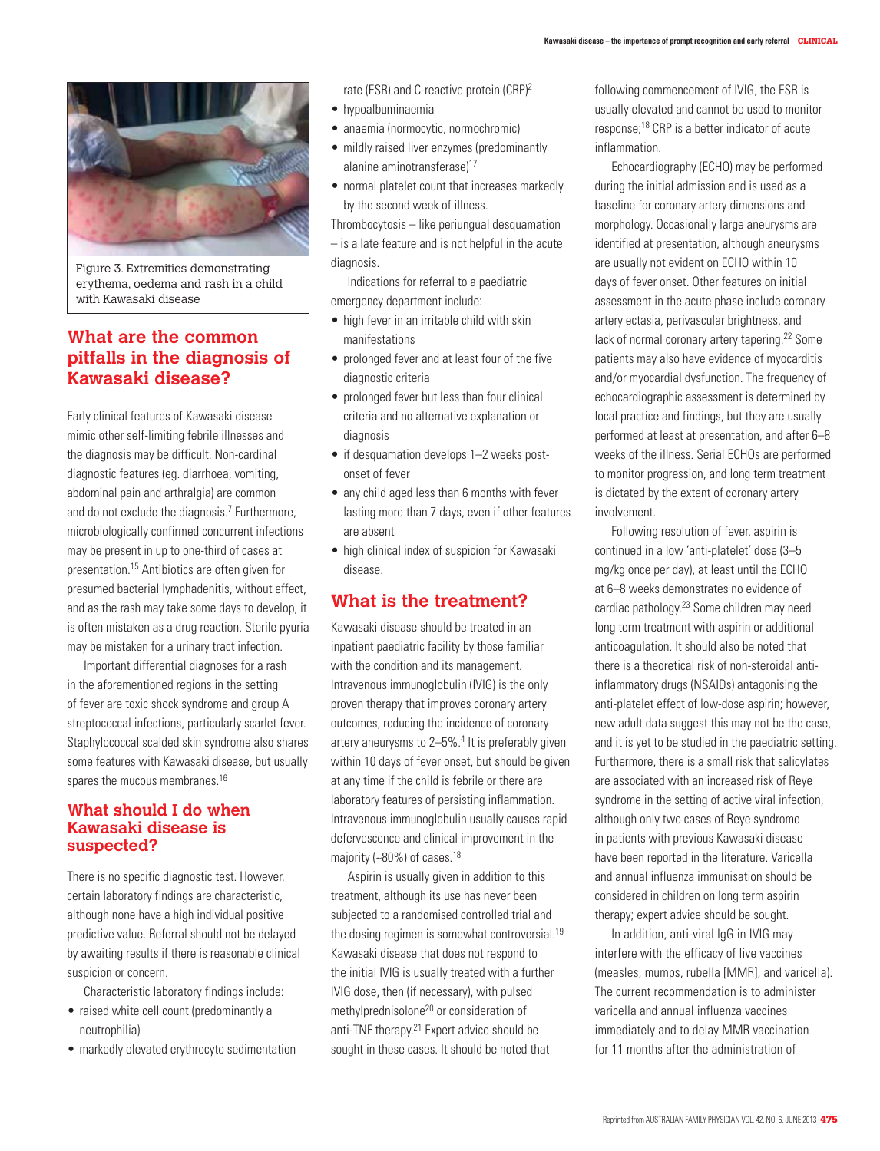

Figure 3. Extremities demonstrating erythema, oedema and rash in a child with Kawasaki disease

# **What are the common pitfalls in the diagnosis of Kawasaki disease?**

Early clinical features of Kawasaki disease mimic other self-limiting febrile illnesses and the diagnosis may be difficult. Non-cardinal diagnostic features (eg. diarrhoea, vomiting, abdominal pain and arthralgia) are common and do not exclude the diagnosis.7 Furthermore, microbiologically confirmed concurrent infections may be present in up to one-third of cases at presentation.15 Antibiotics are often given for presumed bacterial lymphadenitis, without effect, and as the rash may take some days to develop, it is often mistaken as a drug reaction. Sterile pyuria may be mistaken for a urinary tract infection.

Important differential diagnoses for a rash in the aforementioned regions in the setting of fever are toxic shock syndrome and group A streptococcal infections, particularly scarlet fever. Staphylococcal scalded skin syndrome also shares some features with Kawasaki disease, but usually spares the mucous membranes.<sup>16</sup>

## **What should I do when Kawasaki disease is suspected?**

There is no specific diagnostic test. However, certain laboratory findings are characteristic, although none have a high individual positive predictive value. Referral should not be delayed by awaiting results if there is reasonable clinical suspicion or concern.

Characteristic laboratory findings include:

- raised white cell count (predominantly a neutrophilia)
- markedly elevated erythrocyte sedimentation

rate (ESR) and C-reactive protein (CRP)2

- • hypoalbuminaemia
- anaemia (normocytic, normochromic)
- mildly raised liver enzymes (predominantly alanine aminotransferase)17
- normal platelet count that increases markedly by the second week of illness.

Thrombocytosis – like periungual desquamation – is a late feature and is not helpful in the acute diagnosis.

Indications for referral to a paediatric emergency department include:

- high fever in an irritable child with skin manifestations
- prolonged fever and at least four of the five diagnostic criteria
- prolonged fever but less than four clinical criteria and no alternative explanation or diagnosis
- if desquamation develops 1-2 weeks postonset of fever
- any child aged less than 6 months with fever lasting more than 7 days, even if other features are absent
- high clinical index of suspicion for Kawasaki disease.

## **What is the treatment?**

Kawasaki disease should be treated in an inpatient paediatric facility by those familiar with the condition and its management. Intravenous immunoglobulin (IVIG) is the only proven therapy that improves coronary artery outcomes, reducing the incidence of coronary artery aneurysms to 2-5%.<sup>4</sup> It is preferably given within 10 days of fever onset, but should be given at any time if the child is febrile or there are laboratory features of persisting inflammation. Intravenous immunoglobulin usually causes rapid defervescence and clinical improvement in the majority (~80%) of cases.18

Aspirin is usually given in addition to this treatment, although its use has never been subjected to a randomised controlled trial and the dosing regimen is somewhat controversial.<sup>19</sup> Kawasaki disease that does not respond to the initial IVIG is usually treated with a further IVIG dose, then (if necessary), with pulsed methylprednisolone<sup>20</sup> or consideration of anti-TNF therapy.21 Expert advice should be sought in these cases. It should be noted that

following commencement of IVIG, the ESR is usually elevated and cannot be used to monitor response;18 CRP is a better indicator of acute inflammation.

Echocardiography (ECHO) may be performed during the initial admission and is used as a baseline for coronary artery dimensions and morphology. Occasionally large aneurysms are identified at presentation, although aneurysms are usually not evident on ECHO within 10 days of fever onset. Other features on initial assessment in the acute phase include coronary artery ectasia, perivascular brightness, and lack of normal coronary artery tapering.22 Some patients may also have evidence of myocarditis and/or myocardial dysfunction. The frequency of echocardiographic assessment is determined by local practice and findings, but they are usually performed at least at presentation, and after 6–8 weeks of the illness. Serial ECHOs are performed to monitor progression, and long term treatment is dictated by the extent of coronary artery involvement.

Following resolution of fever, aspirin is continued in a low 'anti-platelet' dose (3–5 mg/kg once per day), at least until the ECHO at 6–8 weeks demonstrates no evidence of cardiac pathology.23 Some children may need long term treatment with aspirin or additional anticoagulation. It should also be noted that there is a theoretical risk of non-steroidal antiinflammatory drugs (NSAIDs) antagonising the anti-platelet effect of low-dose aspirin; however, new adult data suggest this may not be the case, and it is yet to be studied in the paediatric setting. Furthermore, there is a small risk that salicylates are associated with an increased risk of Reye syndrome in the setting of active viral infection, although only two cases of Reye syndrome in patients with previous Kawasaki disease have been reported in the literature. Varicella and annual influenza immunisation should be considered in children on long term aspirin therapy; expert advice should be sought.

In addition, anti-viral IgG in IVIG may interfere with the efficacy of live vaccines (measles, mumps, rubella [MMR], and varicella). The current recommendation is to administer varicella and annual influenza vaccines immediately and to delay MMR vaccination for 11 months after the administration of